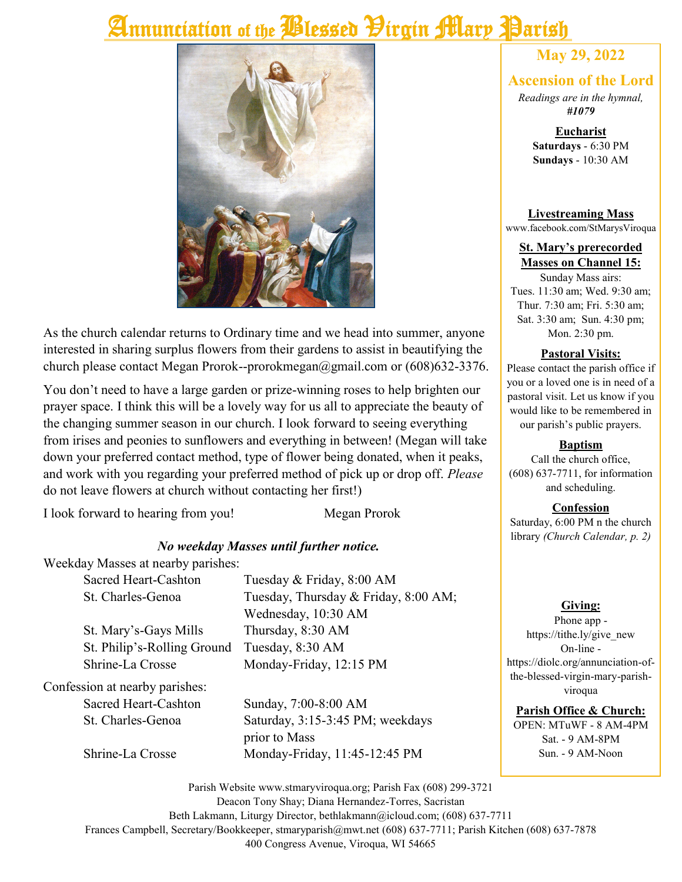# Annunciation of the *Plessed Pirgin Mary* Parish



As the church calendar returns to Ordinary time and we head into summer, anyone interested in sharing surplus flowers from their gardens to assist in beautifying the church please contact Megan Prorok--prorokmegan@gmail.com or (608)632-3376.

You don't need to have a large garden or prize-winning roses to help brighten our prayer space. I think this will be a lovely way for us all to appreciate the beauty of the changing summer season in our church. I look forward to seeing everything from irises and peonies to sunflowers and everything in between! (Megan will take down your preferred contact method, type of flower being donated, when it peaks, and work with you regarding your preferred method of pick up or drop off. *Please* do not leave flowers at church without contacting her first!)

I look forward to hearing from you! Megan Prorok

#### *No weekday Masses until further notice.*

Weekday Masses at nearby parishes:

|                                | Sacred Heart-Cashton        | Tuesday & Friday, 8:00 AM            |  |  |
|--------------------------------|-----------------------------|--------------------------------------|--|--|
|                                | St. Charles-Genoa           | Tuesday, Thursday & Friday, 8:00 AM; |  |  |
|                                |                             | Wednesday, 10:30 AM                  |  |  |
|                                | St. Mary's-Gays Mills       | Thursday, 8:30 AM                    |  |  |
|                                | St. Philip's-Rolling Ground | Tuesday, 8:30 AM                     |  |  |
|                                | Shrine-La Crosse            | Monday-Friday, 12:15 PM              |  |  |
| Confession at nearby parishes: |                             |                                      |  |  |
|                                | Sacred Heart-Cashton        | Sunday, 7:00-8:00 AM                 |  |  |
|                                | St. Charles-Genoa           | Saturday, 3:15-3:45 PM; weekdays     |  |  |
|                                |                             | prior to Mass                        |  |  |
|                                | Shrine-La Crosse            | Monday-Friday, 11:45-12:45 PM        |  |  |

### **May 29, 2022**

#### **Ascension of the Lord**

*Readings are in the hymnal, #1079*

> **Eucharist Saturdays** - 6:30 PM **Sundays** - 10:30 AM

#### **Livestreaming Mass**

www.facebook.com/StMarysViroqua

#### **St. Mary's prerecorded Masses on Channel 15:**

Sunday Mass airs: Tues. 11:30 am; Wed. 9:30 am; Thur. 7:30 am; Fri. 5:30 am; Sat. 3:30 am; Sun. 4:30 pm; Mon. 2:30 pm.

#### **Pastoral Visits:**

Please contact the parish office if you or a loved one is in need of a pastoral visit. Let us know if you would like to be remembered in our parish's public prayers.

#### **Baptism**

Call the church office, (608) 637-7711, for information and scheduling.

#### **Confession**

Saturday, 6:00 PM n the church library *(Church Calendar, p. 2)*

#### **Giving:**

Phone app https://tithe.ly/give\_new On-line https://diolc.org/annunciation-ofthe-blessed-virgin-mary-parishviroqua

#### **Parish Office & Church:**

OPEN: MTuWF - 8 AM-4PM Sat. - 9 AM-8PM Sun. - 9 AM-Noon

Parish Website www.stmaryviroqua.org; Parish Fax (608) 299-3721 Deacon Tony Shay; Diana Hernandez-Torres, Sacristan Beth Lakmann, Liturgy Director, bethlakmann@icloud.com; (608) 637-7711 Frances Campbell, Secretary/Bookkeeper, stmaryparish@mwt.net (608) 637-7711; Parish Kitchen (608) 637-7878 400 Congress Avenue, Viroqua, WI 54665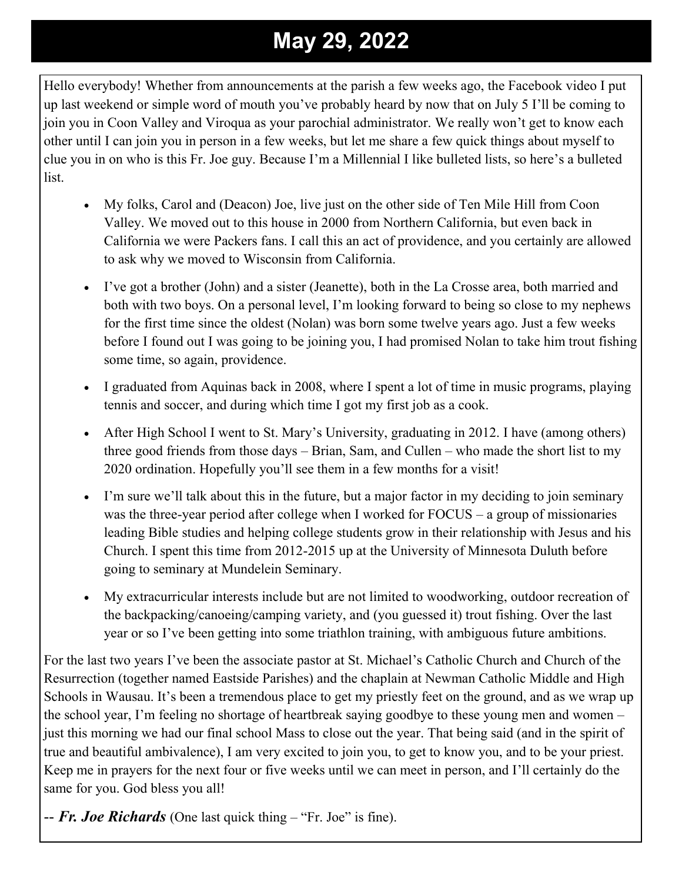# **May 29, 2022**

Hello everybody! Whether from announcements at the parish a few weeks ago, the Facebook video I put up last weekend or simple word of mouth you've probably heard by now that on July 5 I'll be coming to join you in Coon Valley and Viroqua as your parochial administrator. We really won't get to know each other until I can join you in person in a few weeks, but let me share a few quick things about myself to clue you in on who is this Fr. Joe guy. Because I'm a Millennial I like bulleted lists, so here's a bulleted list.

- My folks, Carol and (Deacon) Joe, live just on the other side of Ten Mile Hill from Coon Valley. We moved out to this house in 2000 from Northern California, but even back in California we were Packers fans. I call this an act of providence, and you certainly are allowed to ask why we moved to Wisconsin from California.
- I've got a brother (John) and a sister (Jeanette), both in the La Crosse area, both married and both with two boys. On a personal level, I'm looking forward to being so close to my nephews for the first time since the oldest (Nolan) was born some twelve years ago. Just a few weeks before I found out I was going to be joining you, I had promised Nolan to take him trout fishing some time, so again, providence.
- I graduated from Aquinas back in 2008, where I spent a lot of time in music programs, playing tennis and soccer, and during which time I got my first job as a cook.
- After High School I went to St. Mary's University, graduating in 2012. I have (among others) three good friends from those days – Brian, Sam, and Cullen – who made the short list to my 2020 ordination. Hopefully you'll see them in a few months for a visit!
- I'm sure we'll talk about this in the future, but a major factor in my deciding to join seminary was the three-year period after college when I worked for FOCUS – a group of missionaries leading Bible studies and helping college students grow in their relationship with Jesus and his Church. I spent this time from 2012-2015 up at the University of Minnesota Duluth before going to seminary at Mundelein Seminary.
- My extracurricular interests include but are not limited to woodworking, outdoor recreation of the backpacking/canoeing/camping variety, and (you guessed it) trout fishing. Over the last year or so I've been getting into some triathlon training, with ambiguous future ambitions.

For the last two years I've been the associate pastor at St. Michael's Catholic Church and Church of the Resurrection (together named Eastside Parishes) and the chaplain at Newman Catholic Middle and High Schools in Wausau. It's been a tremendous place to get my priestly feet on the ground, and as we wrap up the school year, I'm feeling no shortage of heartbreak saying goodbye to these young men and women – just this morning we had our final school Mass to close out the year. That being said (and in the spirit of true and beautiful ambivalence), I am very excited to join you, to get to know you, and to be your priest. Keep me in prayers for the next four or five weeks until we can meet in person, and I'll certainly do the same for you. God bless you all!

-- *Fr. Joe Richards* (One last quick thing – "Fr. Joe" is fine).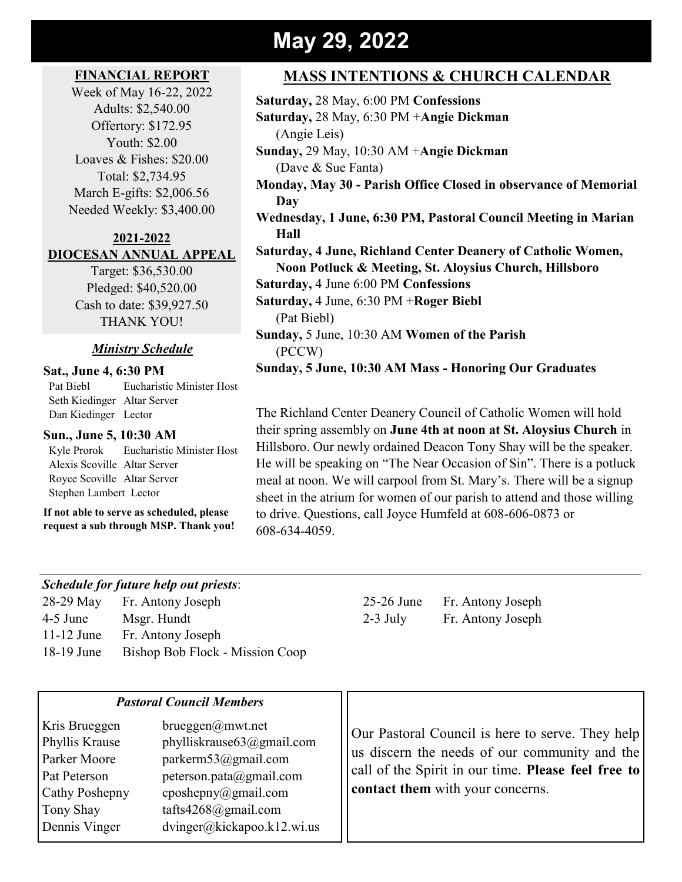### **May 29, 2022**

#### **FINANCIAL REPORT**

Week of May 16-22, 2022 Adults: \$2,540.00 Offertory: \$172.95 Youth: \$2.00 Loaves & Fishes: \$20.00 Total: \$2,734.95 March E-gifts: \$2,006.56 Needed Weekly: \$3,400.00

#### **2021-2022 DIOCESAN ANNUAL APPEAL**

Target: \$36,530.00 Pledged: \$40,520.00 Cash to date: \$39,927.50 THANK YOU!

#### *Ministry Schedule*

#### **Sat., June 4, 6:30 PM**

 Pat Biebl Eucharistic Minister Host Seth Kiedinger Altar Server Dan Kiedinger Lector

#### **Sun., June 5, 10:30 AM**

 Kyle Prorok Eucharistic Minister Host Alexis Scoville Altar Server Royce Scoville Altar Server Stephen Lambert Lector

**If not able to serve as scheduled, please request a sub through MSP. Thank you!**

### **MASS INTENTIONS & CHURCH CALENDAR**

| Saturday, 28 May, 6:00 PM Confessions                           |
|-----------------------------------------------------------------|
| Saturday, 28 May, 6:30 PM + Angie Dickman                       |
| (Angie Leis)                                                    |
| Sunday, 29 May, 10:30 AM + Angie Dickman                        |
| (Dave & Sue Fanta)                                              |
| Monday, May 30 - Parish Office Closed in observance of Memorial |
| Day                                                             |
| Wednesday, 1 June, 6:30 PM, Pastoral Council Meeting in Marian  |
| Hall                                                            |
| Saturday, 4 June, Richland Center Deanery of Catholic Women,    |
| Noon Potluck & Meeting, St. Aloysius Church, Hillsboro          |
| <b>Saturday, 4 June 6:00 PM Confessions</b>                     |
| Saturday, 4 June, 6:30 PM + Roger Biebl                         |
| (Pat Biebl)                                                     |
| Sunday, 5 June, 10:30 AM Women of the Parish                    |
| (PCCW)                                                          |
| Sunday, 5 June, 10:30 AM Mass - Honoring Our Graduates          |

The Richland Center Deanery Council of Catholic Women will hold their spring assembly on **June 4th at noon at St. Aloysius Church** in Hillsboro. Our newly ordained Deacon Tony Shay will be the speaker. He will be speaking on "The Near Occasion of Sin". There is a potluck meal at noon. We will carpool from St. Mary's. There will be a signup sheet in the atrium for women of our parish to attend and those willing to drive. Questions, call Joyce Humfeld at 608-606-0873 or 608-634-4059.

#### *Schedule for future help out priests*:

-29 May Fr. Antony Joseph 25-26 June Fr. Antony Joseph -5 June Msgr. Hundt 2-3 July Fr. Antony Joseph -12 June Fr. Antony Joseph 18-19 June Bishop Bob Flock - Mission Coop

| <b>Pastoral Council Members</b>                                                                                                                                                                                                                                                                    |                                                                                                                                                                                              |
|----------------------------------------------------------------------------------------------------------------------------------------------------------------------------------------------------------------------------------------------------------------------------------------------------|----------------------------------------------------------------------------------------------------------------------------------------------------------------------------------------------|
| Kris Brueggen<br>brueggen@mwt.net<br>phylliskrause63@gmail.com<br>Phyllis Krause<br>Parker Moore<br>parkerm $53$ @gmail.com<br>peterson.pata@gmail.com<br>Pat Peterson<br>cposhepny@gmail.com<br>Cathy Poshepny<br>tafts4268@gmail.com<br>Tony Shay<br>dvinger@kickapoo.k12.wi.us<br>Dennis Vinger | Our Pastoral Council is here to serve. They help<br>us discern the needs of our community and the<br>call of the Spirit in our time. Please feel free to<br>contact them with your concerns. |